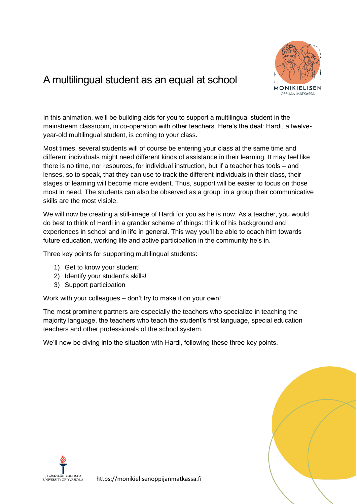

# A multilingual student as an equal at school

In this animation, we'll be building aids for you to support a multilingual student in the mainstream classroom, in co-operation with other teachers. Here's the deal: Hardi, a twelveyear-old multilingual student, is coming to your class.

Most times, several students will of course be entering your class at the same time and different individuals might need different kinds of assistance in their learning. It may feel like there is no time, nor resources, for individual instruction, but if a teacher has tools – and lenses, so to speak, that they can use to track the different individuals in their class, their stages of learning will become more evident. Thus, support will be easier to focus on those most in need. The students can also be observed as a group: in a group their communicative skills are the most visible.

We will now be creating a still-image of Hardi for you as he is now. As a teacher, you would do best to think of Hardi in a grander scheme of things: think of his background and experiences in school and in life in general. This way you'll be able to coach him towards future education, working life and active participation in the community he's in.

Three key points for supporting multilingual students:

- 1) Get to know your student!
- 2) Identify your student's skills!
- 3) Support participation

Work with your colleagues – don't try to make it on your own!

The most prominent partners are especially the teachers who specialize in teaching the majority language, the teachers who teach the student's first language, special education teachers and other professionals of the school system.

We'll now be diving into the situation with Hardi, following these three key points.



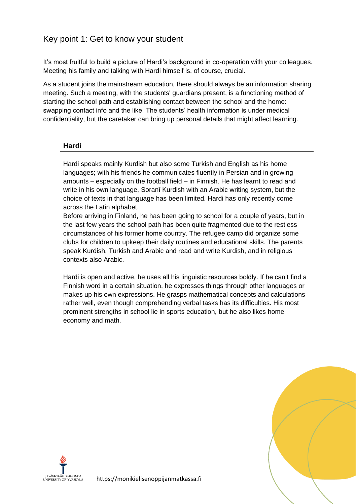## Key point 1: Get to know your student

It's most fruitful to build a picture of Hardi's background in co-operation with your colleagues. Meeting his family and talking with Hardi himself is, of course, crucial.

As a student joins the mainstream education, there should always be an information sharing meeting. Such a meeting, with the students' guardians present, is a functioning method of starting the school path and establishing contact between the school and the home: swapping contact info and the like. The students' health information is under medical confidentiality, but the caretaker can bring up personal details that might affect learning.

#### **Hardi**

Hardi speaks mainly Kurdish but also some Turkish and English as his home languages; with his friends he communicates fluently in Persian and in growing amounts – especially on the football field – in Finnish. He has learnt to read and write in his own language, Soranî Kurdish with an Arabic writing system, but the choice of texts in that language has been limited. Hardi has only recently come across the Latin alphabet.

Before arriving in Finland, he has been going to school for a couple of years, but in the last few years the school path has been quite fragmented due to the restless circumstances of his former home country. The refugee camp did organize some clubs for children to upkeep their daily routines and educational skills. The parents speak Kurdish, Turkish and Arabic and read and write Kurdish, and in religious contexts also Arabic.

Hardi is open and active, he uses all his linguistic resources boldly. If he can't find a Finnish word in a certain situation, he expresses things through other languages or makes up his own expressions. He grasps mathematical concepts and calculations rather well, even though comprehending verbal tasks has its difficulties. His most prominent strengths in school lie in sports education, but he also likes home economy and math.



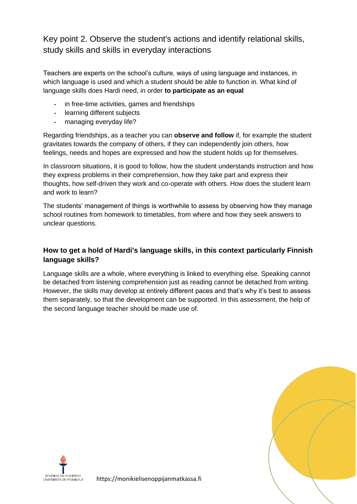Key point 2. Observe the student's actions and identify relational skills, study skills and skills in everyday interactions

Teachers are experts on the school's culture, ways of using language and instances, in which language is used and which a student should be able to function in. What kind of language skills does Hardi need, in order **to participate as an equal**

- **-** in free-time activities, games and friendships
- **-** learning different subjects
- **-** managing everyday life?

Regarding friendships, as a teacher you can **observe and follow** if, for example the student gravitates towards the company of others, if they can independently join others, how feelings, needs and hopes are expressed and how the student holds up for themselves.

In classroom situations, it is good to follow, how the student understands instruction and how they express problems in their comprehension, how they take part and express their thoughts, how self-driven they work and co-operate with others. How does the student learn and work to learn?

The students' management of things is worthwhile to assess by observing how they manage school routines from homework to timetables, from where and how they seek answers to unclear questions.

## **How to get a hold of Hardi's language skills, in this context particularly Finnish language skills?**

Language skills are a whole, where everything is linked to everything else. Speaking cannot be detached from listening comprehension just as reading cannot be detached from writing. However, the skills may develop at entirely different paces and that's why it's best to assess them separately, so that the development can be supported. In this assessment, the help of the second language teacher should be made use of.



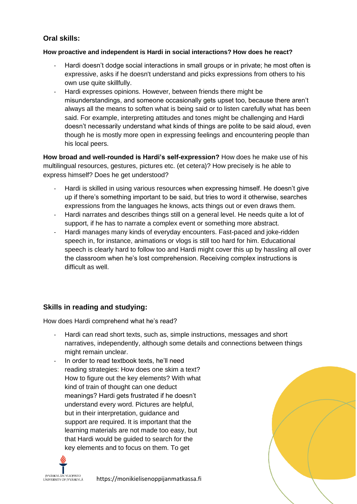## **Oral skills:**

#### **How proactive and independent is Hardi in social interactions? How does he react?**

- Hardi doesn't dodge social interactions in small groups or in private; he most often is expressive, asks if he doesn't understand and picks expressions from others to his own use quite skillfully.
- Hardi expresses opinions. However, between friends there might be misunderstandings, and someone occasionally gets upset too, because there aren't always all the means to soften what is being said or to listen carefully what has been said. For example, interpreting attitudes and tones might be challenging and Hardi doesn't necessarily understand what kinds of things are polite to be said aloud, even though he is mostly more open in expressing feelings and encountering people than his local peers.

**How broad and well-rounded is Hardi's self-expression?** How does he make use of his multilingual resources, gestures, pictures etc. (et cetera)? How precisely is he able to express himself? Does he get understood?

- Hardi is skilled in using various resources when expressing himself. He doesn't give up if there's something important to be said, but tries to word it otherwise, searches expressions from the languages he knows, acts things out or even draws them.
- Hardi narrates and describes things still on a general level. He needs quite a lot of support, if he has to narrate a complex event or something more abstract.
- Hardi manages many kinds of everyday encounters. Fast-paced and joke-ridden speech in, for instance, animations or vlogs is still too hard for him. Educational speech is clearly hard to follow too and Hardi might cover this up by hassling all over the classroom when he's lost comprehension. Receiving complex instructions is difficult as well.

## **Skills in reading and studying:**

How does Hardi comprehend what he's read?

- Hardi can read short texts, such as, simple instructions, messages and short narratives, independently, although some details and connections between things might remain unclear.
- In order to read textbook texts, he'll need reading strategies: How does one skim a text? How to figure out the key elements? With what kind of train of thought can one deduct meanings? Hardi gets frustrated if he doesn't understand every word. Pictures are helpful, but in their interpretation, guidance and support are required. It is important that the learning materials are not made too easy, but that Hardi would be guided to search for the key elements and to focus on them. To get

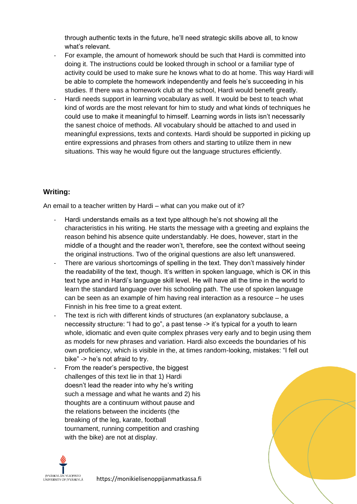through authentic texts in the future, he'll need strategic skills above all, to know what's relevant.

- For example, the amount of homework should be such that Hardi is committed into doing it. The instructions could be looked through in school or a familiar type of activity could be used to make sure he knows what to do at home. This way Hardi will be able to complete the homework independently and feels he's succeeding in his studies. If there was a homework club at the school, Hardi would benefit greatly.
- Hardi needs support in learning vocabulary as well. It would be best to teach what kind of words are the most relevant for him to study and what kinds of techniques he could use to make it meaningful to himself. Learning words in lists isn't necessarily the sanest choice of methods. All vocabulary should be attached to and used in meaningful expressions, texts and contexts. Hardi should be supported in picking up entire expressions and phrases from others and starting to utilize them in new situations. This way he would figure out the language structures efficiently.

## **Writing:**

An email to a teacher written by Hardi – what can you make out of it?

- Hardi understands emails as a text type although he's not showing all the characteristics in his writing. He starts the message with a greeting and explains the reason behind his absence quite understandably. He does, however, start in the middle of a thought and the reader won't, therefore, see the context without seeing the original instructions. Two of the original questions are also left unanswered.
- There are various shortcomings of spelling in the text. They don't massively hinder the readability of the text, though. It's written in spoken language, which is OK in this text type and in Hardi's language skill level. He will have all the time in the world to learn the standard language over his schooling path. The use of spoken language can be seen as an example of him having real interaction as a resource – he uses Finnish in his free time to a great extent.
- The text is rich with different kinds of structures (an explanatory subclause, a neccessity structure: "I had to go", a past tense -> it's typical for a youth to learn whole, idiomatic and even quite complex phrases very early and to begin using them as models for new phrases and variation. Hardi also exceeds the boundaries of his own proficiency, which is visible in the, at times random-looking, mistakes: "I fell out bike" -> he's not afraid to try.
- From the reader's perspective, the biggest challenges of this text lie in that 1) Hardi doesn't lead the reader into why he's writing such a message and what he wants and 2) his thoughts are a continuum without pause and the relations between the incidents (the breaking of the leg, karate, football tournament, running competition and crashing with the bike) are not at display.

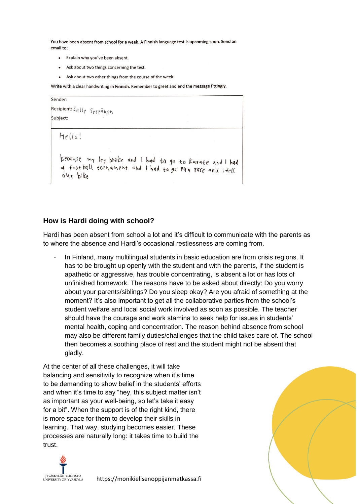You have been absent from school for a week. A Finnish language test is upcoming soon. Send an email to:

- Explain why you've been absent.
- Ask about two things concerning the test.
- Ask about two other things from the course of the week.

Write with a clear handwriting in Finnish. Remember to greet and end the message fittingly.



#### **How is Hardi doing with school?**

Hardi has been absent from school a lot and it's difficult to communicate with the parents as to where the absence and Hardi's occasional restlessness are coming from.

In Finland, many multilingual students in basic education are from crisis regions. It has to be brought up openly with the student and with the parents, if the student is apathetic or aggressive, has trouble concentrating, is absent a lot or has lots of unfinished homework. The reasons have to be asked about directly: Do you worry about your parents/siblings? Do you sleep okay? Are you afraid of something at the moment? It's also important to get all the collaborative parties from the school's student welfare and local social work involved as soon as possible. The teacher should have the courage and work stamina to seek help for issues in students' mental health, coping and concentration. The reason behind absence from school may also be different family duties/challenges that the child takes care of. The school then becomes a soothing place of rest and the student might not be absent that gladly.

At the center of all these challenges, it will take balancing and sensitivity to recognize when it's time to be demanding to show belief in the students' efforts and when it's time to say "hey, this subject matter isn't as important as your well-being, so let's take it easy for a bit". When the support is of the right kind, there is more space for them to develop their skills in learning. That way, studying becomes easier. These processes are naturally long: it takes time to build the trust.



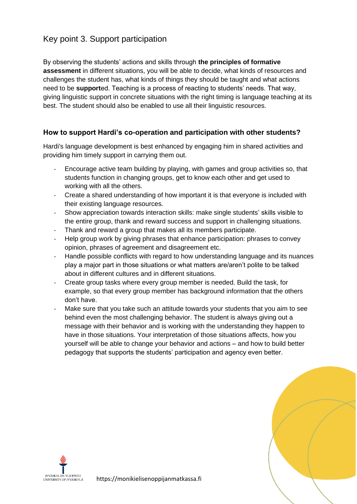# Key point 3. Support participation

By observing the students' actions and skills through **the principles of formative assessment** in different situations, you will be able to decide, what kinds of resources and challenges the student has, what kinds of things they should be taught and what actions need to be **support**ed. Teaching is a process of reacting to students' needs. That way, giving linguistic support in concrete situations with the right timing is language teaching at its best. The student should also be enabled to use all their linguistic resources.

#### **How to support Hardi's co-operation and participation with other students?**

Hardi's language development is best enhanced by engaging him in shared activities and providing him timely support in carrying them out.

- Encourage active team building by playing, with games and group activities so, that students function in changing groups, get to know each other and get used to working with all the others.
- Create a shared understanding of how important it is that everyone is included with their existing language resources.
- Show appreciation towards interaction skills: make single students' skills visible to the entire group, thank and reward success and support in challenging situations.
- Thank and reward a group that makes all its members participate.
- Help group work by giving phrases that enhance participation: phrases to convey opinion, phrases of agreement and disagreement etc.
- Handle possible conflicts with regard to how understanding language and its nuances play a major part in those situations or what matters are/aren't polite to be talked about in different cultures and in different situations.
- Create group tasks where every group member is needed. Build the task, for example, so that every group member has background information that the others don't have.
- Make sure that you take such an attitude towards your students that you aim to see behind even the most challenging behavior. The student is always giving out a message with their behavior and is working with the understanding they happen to have in those situations. Your interpretation of those situations affects, how you yourself will be able to change your behavior and actions – and how to build better pedagogy that supports the students' participation and agency even better.